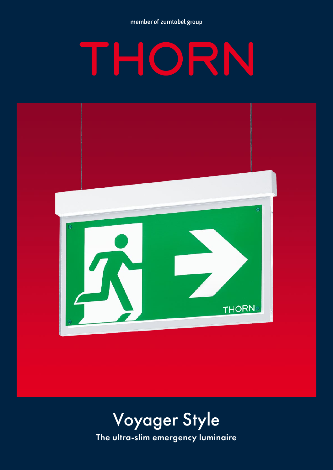member of zumtobel group

# IRN H



## The ultra-slim emergency luminaire Voyager Style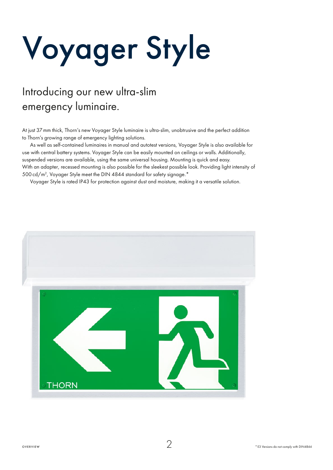# Voyager Style

## Introducing our new ultra-slim emergency luminaire.

At just 37mm thick, Thorn's new Voyager Style luminaire is ultra-slim, unobtrusive and the perfect addition to Thorn's growing range of emergency lighting solutions.

As well as self-contained luminaires in manual and autotest versions, Voyager Style is also available for use with central battery systems. Voyager Style can be easily mounted on ceilings or walls. Additionally, suspended versions are available, using the same universal housing. Mounting is quick and easy. With an adapter, recessed mounting is also possible for the sleekest possible look. Providing light intensity of 500cd/m2 , Voyager Style meet the DIN 4844 standard for safety signage.\*

Voyager Style is rated IP43 for protection against dust and moisture, making it a versatile solution.

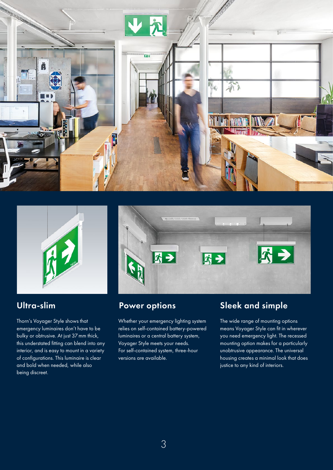



Thorn's Voyager Style shows that emergency luminaires don't have to be bulky or obtrusive. At just 37mm thick, this understated fitting can blend into any interior, and is easy to mount in a variety of configurations. This luminaire is clear and bold when needed, while also being discreet.



Whether your emergency lighting system relies on self-contained battery-powered luminaires or a central battery system, Voyager Style meets your needs. For self-contained system, three-hour versions are available.

### Ultra-slim **Power options** Sleek and simple

The wide range of mounting options means Voyager Style can fit in wherever you need emergency light. The recessed mounting option makes for a particularly unobtrusive appearance. The universal housing creates a minimal look that does justice to any kind of interiors.